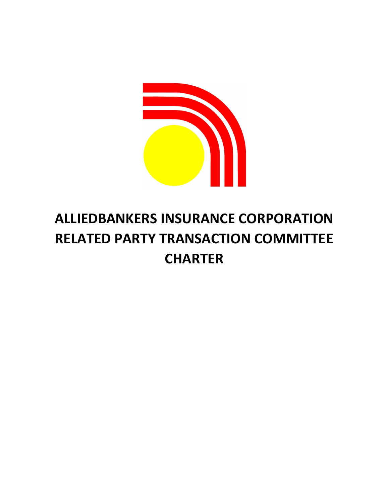

# ALLIEDBANKERS INSURANCE CORPORATION RELATED PARTY TRANSACTION COMMITTEE **CHARTER**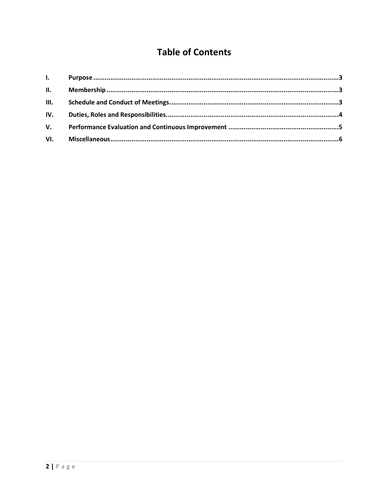# **Table of Contents**

| III. |  |
|------|--|
| IV.  |  |
| V.   |  |
|      |  |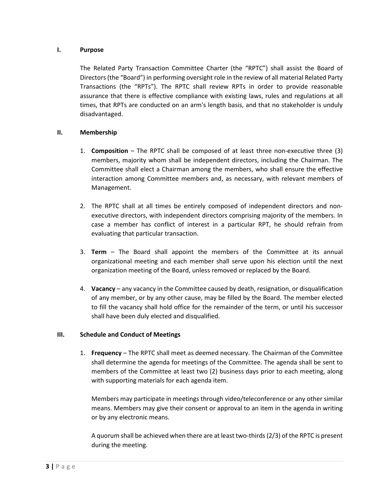#### I. Purpose

The Related Party Transaction Committee Charter (the "RPTC") shall assist the Board of Directors (the "Board") in performing oversight role in the review of all material Related Party Transactions (the "RPTs"). The RPTC shall review RPTs in order to provide reasonable assurance that there is effective compliance with existing laws, rules and regulations at all times, that RPTs are conducted on an arm's length basis, and that no stakeholder is unduly disadvantaged.

## II. Membership

- 1. Composition The RPTC shall be composed of at least three non-executive three (3) members, majority whom shall be independent directors, including the Chairman. The Committee shall elect a Chairman among the members, who shall ensure the effective interaction among Committee members and, as necessary, with relevant members of Management.
- 2. The RPTC shall at all times be entirely composed of independent directors and nonexecutive directors, with independent directors comprising majority of the members. In case a member has conflict of interest in a particular RPT, he should refrain from evaluating that particular transaction.
- 3. Term The Board shall appoint the members of the Committee at its annual organizational meeting and each member shall serve upon his election until the next organization meeting of the Board, unless removed or replaced by the Board.
- 4. Vacancy any vacancy in the Committee caused by death, resignation, or disqualification of any member, or by any other cause, may be filled by the Board. The member elected to fill the vacancy shall hold office for the remainder of the term, or until his successor shall have been duly elected and disqualified.

#### III. Schedule and Conduct of Meetings

1. Frequency – The RPTC shall meet as deemed necessary. The Chairman of the Committee shall determine the agenda for meetings of the Committee. The agenda shall be sent to members of the Committee at least two (2) business days prior to each meeting, along with supporting materials for each agenda item.

Members may participate in meetings through video/teleconference or any other similar means. Members may give their consent or approval to an item in the agenda in writing or by any electronic means.

A quorum shall be achieved when there are at least two-thirds (2/3) of the RPTC is present during the meeting.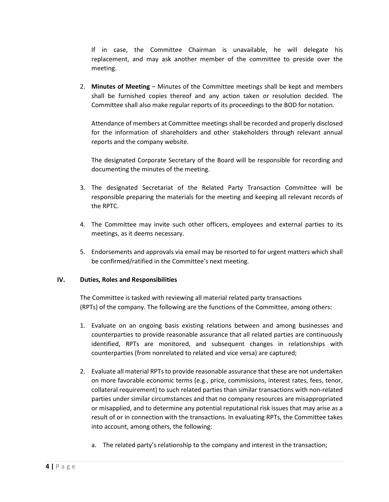If in case, the Committee Chairman is unavailable, he will delegate his replacement, and may ask another member of the committee to preside over the meeting.

2. Minutes of Meeting – Minutes of the Committee meetings shall be kept and members shall be furnished copies thereof and any action taken or resolution decided. The Committee shall also make regular reports of its proceedings to the BOD for notation.

Attendance of members at Committee meetings shall be recorded and properly disclosed for the information of shareholders and other stakeholders through relevant annual reports and the company website.

The designated Corporate Secretary of the Board will be responsible for recording and documenting the minutes of the meeting.

- 3. The designated Secretariat of the Related Party Transaction Committee will be responsible preparing the materials for the meeting and keeping all relevant records of the RPTC.
- 4. The Committee may invite such other officers, employees and external parties to its meetings, as it deems necessary.
- 5. Endorsements and approvals via email may be resorted to for urgent matters which shall be confirmed/ratified in the Committee's next meeting.

#### IV. Duties, Roles and Responsibilities

The Committee is tasked with reviewing all material related party transactions (RPTs) of the company. The following are the functions of the Committee, among others:

- 1. Evaluate on an ongoing basis existing relations between and among businesses and counterparties to provide reasonable assurance that all related parties are continuously identified, RPTs are monitored, and subsequent changes in relationships with counterparties (from nonrelated to related and vice versa) are captured;
- 2. Evaluate all material RPTs to provide reasonable assurance that these are not undertaken on more favorable economic terms (e.g., price, commissions, interest rates, fees, tenor, collateral requirement) to such related parties than similar transactions with non-related parties under similar circumstances and that no company resources are misappropriated or misapplied, and to determine any potential reputational risk issues that may arise as a result of or in connection with the transactions. In evaluating RPTs, the Committee takes into account, among others, the following:
	- a. The related party's relationship to the company and interest in the transaction;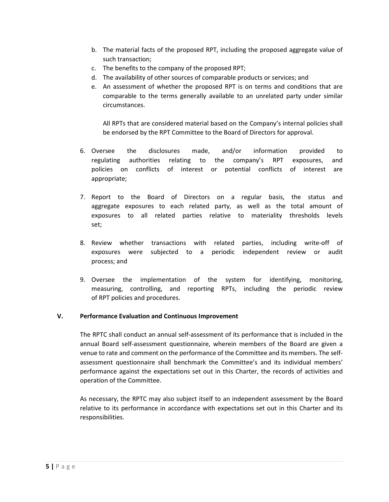- b. The material facts of the proposed RPT, including the proposed aggregate value of such transaction;
- c. The benefits to the company of the proposed RPT;
- d. The availability of other sources of comparable products or services; and
- e. An assessment of whether the proposed RPT is on terms and conditions that are comparable to the terms generally available to an unrelated party under similar circumstances.

All RPTs that are considered material based on the Company's internal policies shall be endorsed by the RPT Committee to the Board of Directors for approval.

- 6. Oversee the disclosures made, and/or information provided to regulating authorities relating to the company's RPT exposures, and policies on conflicts of interest or potential conflicts of interest are appropriate;
- 7. Report to the Board of Directors on a regular basis, the status and aggregate exposures to each related party, as well as the total amount of exposures to all related parties relative to materiality thresholds levels set;
- 8. Review whether transactions with related parties, including write-off of exposures were subjected to a periodic independent review or audit process; and
- 9. Oversee the implementation of the system for identifying, monitoring, measuring, controlling, and reporting RPTs, including the periodic review of RPT policies and procedures.

#### V. Performance Evaluation and Continuous Improvement

The RPTC shall conduct an annual self-assessment of its performance that is included in the annual Board self-assessment questionnaire, wherein members of the Board are given a venue to rate and comment on the performance of the Committee and its members. The selfassessment questionnaire shall benchmark the Committee's and its individual members' performance against the expectations set out in this Charter, the records of activities and operation of the Committee.

As necessary, the RPTC may also subject itself to an independent assessment by the Board relative to its performance in accordance with expectations set out in this Charter and its responsibilities.